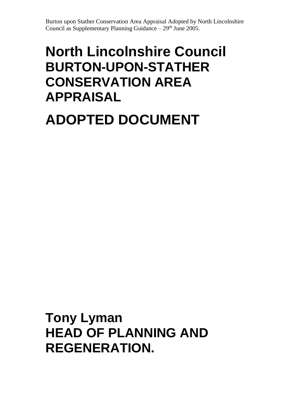# **North Lincolnshire Council BURTON-UPON-STATHER CONSERVATION AREA APPRAISAL**

# **ADOPTED DOCUMENT**

**Tony Lyman HEAD OF PLANNING AND REGENERATION.**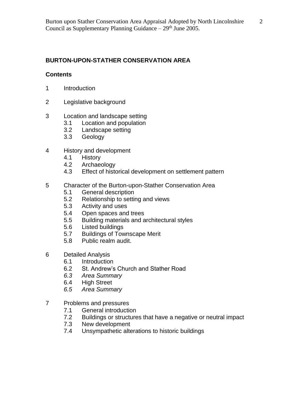# **BURTON-UPON-STATHER CONSERVATION AREA**

## **Contents**

- 1 Introduction
- 2 Legislative background
- 3 Location and landscape setting
	- 3.1 Location and population
	- 3.2 Landscape setting
	- 3.3 Geology
- 4 History and development
	- 4.1 History
	- 4.2 Archaeology
	- 4.3 Effect of historical development on settlement pattern
- 5 Character of the Burton-upon-Stather Conservation Area
	- 5.1 General description
	- 5.2 Relationship to setting and views
	- 5.3 Activity and uses
	- 5.4 Open spaces and trees
	- 5.5 Building materials and architectural styles
	- 5.6 Listed buildings
	- 5.7 Buildings of Townscape Merit
	- 5.8 Public realm audit.
- 6 Detailed Analysis
	- 6.1 Introduction
	- 6.2 St. Andrew's Church and Stather Road
	- *6.3 Area Summary*
	- 6.4 High Street
	- *6.5 Area Summary*
- 7 Problems and pressures
	- 7.1 General introduction
	- 7.2 Buildings or structures that have a negative or neutral impact<br>7.3 New development
	- New development
	- 7.4 Unsympathetic alterations to historic buildings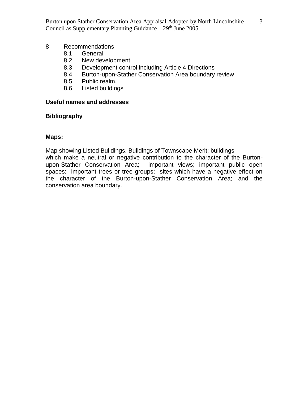#### 8 Recommendations

- 8.1 General
- 8.2 New development
- 8.3 Development control including Article 4 Directions
- 8.4 Burton-upon-Stather Conservation Area boundary review
- 8.5 Public realm.
- 8.6 Listed buildings

## **Useful names and addresses**

#### **Bibliography**

#### **Maps:**

Map showing Listed Buildings, Buildings of Townscape Merit; buildings

which make a neutral or negative contribution to the character of the Burtonupon-Stather Conservation Area; important views; important public open spaces; important trees or tree groups; sites which have a negative effect on the character of the Burton-upon-Stather Conservation Area; and the conservation area boundary.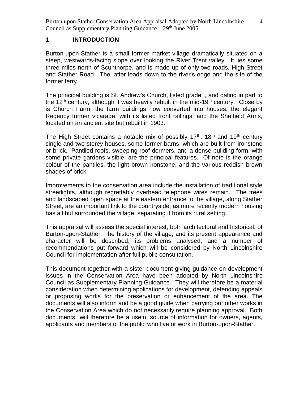## **1 INTRODUCTION**

Burton-upon-Stather is a small former market village dramatically situated on a steep, westwards-facing slope over looking the River Trent valley. It lies some three miles north of Scunthorpe, and is made up of only two roads, High Street and Stather Road. The latter leads down to the river's edge and the site of the former ferry.

The principal building is St. Andrew's Church, listed grade I, and dating in part to the 12<sup>th</sup> century, although it was heavily rebuilt in the mid-19<sup>th</sup> century. Close by is Church Farm, the farm buildings now converted into houses, the elegant Regency former vicarage, with its listed front railings, and the Sheffield Arms, located on an ancient site but rebuilt in 1903.

The High Street contains a notable mix of possibly  $17<sup>th</sup>$ ,  $18<sup>th</sup>$  and  $19<sup>th</sup>$  century single and two storey houses, some former barns, which are built from ironstone or brick. Pantiled roofs, sweeping roof dormers, and a dense building form, with some private gardens visible, are the principal features. Of note is the orange colour of the pantiles, the light brown ironstone, and the various reddish brown shades of brick.

Improvements to the conservation area include the installation of traditional style streetlights, although regrettably overhead telephone wires remain. The trees and landscaped open space at the eastern entrance to the village, along Stather Street, are an important link to the countryside, as more recently modern housing has all but surrounded the village, separating it from its rural setting.

This appraisal will assess the special interest, both architectural and historical, of Burton-upon-Stather. The history of the village, and its present appearance and character will be described, its problems analysed, and a number of recommendations put forward which will be considered by North Lincolnshire Council for implementation after full public consultation.

This document together with a sister document giving guidance on development issues in the Conservation Area have been adopted by North Lincolnshire Council as Supplementary Planning Guidance. They will therefore be a material consideration when determining applications for development, defending appeals or proposing works for the preservation or enhancement of the area. The documents will also inform and be a good guide when carrying out other works in the Conservation Area which do not necessarily require planning approval. Both documents will therefore be a useful source of information for owners, agents, applicants and members of the public who live or work in Burton-upon-Stather.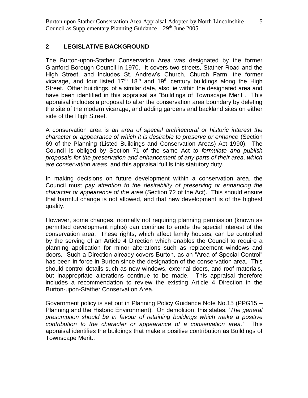## **2 LEGISLATIVE BACKGROUND**

The Burton-upon-Stather Conservation Area was designated by the former Glanford Borough Council in 1970. It covers two streets, Stather Road and the High Street, and includes St. Andrew's Church, Church Farm, the former vicarage, and four listed  $17<sup>th</sup> 18<sup>th</sup>$  and  $19<sup>th</sup>$  century buildings along the High Street. Other buildings, of a similar date, also lie within the designated area and have been identified in this appraisal as "Buildings of Townscape Merit". This appraisal includes a proposal to alter the conservation area boundary by deleting the site of the modern vicarage, and adding gardens and backland sites on either side of the High Street.

A conservation area is *an area of special architectural or historic interest the character or appearance of which it is desirable to preserve or enhance* (Section 69 of the Planning (Listed Buildings and Conservation Areas) Act 1990). The Council is obliged by Section 71 of the same Act *to formulate and publish proposals for the preservation and enhancement of any parts of their area, which are conservation areas*, and this appraisal fulfils this statutory duty.

In making decisions on future development within a conservation area, the Council must *pay attention to the desirability of preserving or enhancing the character or appearance of the area* (Section 72 of the Act). This should ensure that harmful change is not allowed, and that new development is of the highest quality.

However, some changes, normally not requiring planning permission (known as permitted development rights) can continue to erode the special interest of the conservation area. These rights, which affect family houses, can be controlled by the serving of an Article 4 Direction which enables the Council to require a planning application for minor alterations such as replacement windows and doors. Such a Direction already covers Burton, as an "Area of Special Control" has been in force in Burton since the designation of the conservation area. This should control details such as new windows, external doors, and roof materials, but inappropriate alterations continue to be made. This appraisal therefore includes a recommendation to review the existing Article 4 Direction in the Burton-upon-Stather Conservation Area.

Government policy is set out in Planning Policy Guidance Note No.15 (PPG15 – Planning and the Historic Environment). On demolition, this states, '*The general presumption should be in favour of retaining buildings which make a positive contribution to the character or appearance of a conservation area*.' This appraisal identifies the buildings that make a positive contribution as Buildings of Townscape Merit..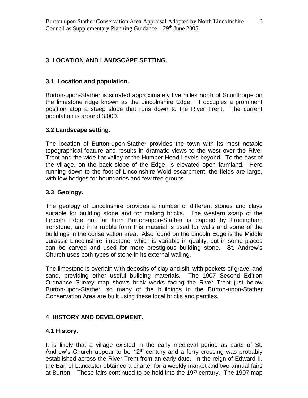# **3 LOCATION AND LANDSCAPE SETTING.**

## **3.1 Location and population.**

Burton-upon-Stather is situated approximately five miles north of Scunthorpe on the limestone ridge known as the Lincolnshire Edge. It occupies a prominent position atop a steep slope that runs down to the River Trent. The current population is around 3,000.

## **3.2 Landscape setting.**

The location of Burton-upon-Stather provides the town with its most notable topographical feature and results in dramatic views to the west over the River Trent and the wide flat valley of the Humber Head Levels beyond. To the east of the village, on the back slope of the Edge, is elevated open farmland. Here running down to the foot of Lincolnshire Wold escarpment, the fields are large, with low hedges for boundaries and few tree groups.

## **3.3 Geology.**

The geology of Lincolnshire provides a number of different stones and clays suitable for building stone and for making bricks. The western scarp of the Lincoln Edge not far from Burton-upon-Stather is capped by Frodingham ironstone, and in a rubble form this material is used for walls and some of the buildings in the conservation area. Also found on the Lincoln Edge is the Middle Jurassic Lincolnshire limestone, which is variable in quality, but in some places can be carved and used for more prestigious building stone. St. Andrew's Church uses both types of stone in its external walling.

The limestone is overlain with deposits of clay and silt, with pockets of gravel and sand, providing other useful building materials. The 1907 Second Edition Ordnance Survey map shows brick works facing the River Trent just below Burton-upon-Stather, so many of the buildings in the Burton-upon-Stather Conservation Area are built using these local bricks and pantiles.

# **4 HISTORY AND DEVELOPMENT.**

## **4.1 History.**

It is likely that a village existed in the early medieval period as parts of St. Andrew's Church appear to be  $12<sup>th</sup>$  century and a ferry crossing was probably established across the River Trent from an early date. In the reign of Edward II, the Earl of Lancaster obtained a charter for a weekly market and two annual fairs at Burton. These fairs continued to be held into the  $19<sup>th</sup>$  century. The 1907 map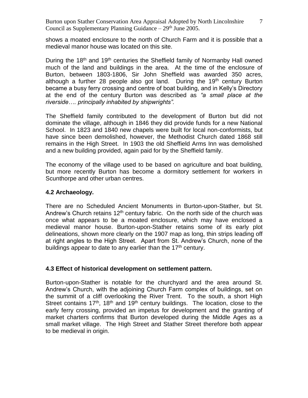shows a moated enclosure to the north of Church Farm and it is possible that a medieval manor house was located on this site.

During the 18<sup>th</sup> and 19<sup>th</sup> centuries the Sheffield family of Normanby Hall owned much of the land and buildings in the area. At the time of the enclosure of Burton, between 1803-1806, Sir John Sheffield was awarded 350 acres, although a further 28 people also got land. During the  $19<sup>th</sup>$  century Burton became a busy ferry crossing and centre of boat building, and in Kelly's Directory at the end of the century Burton was described as *"a small place at the riverside…. principally inhabited by shipwrights".* 

The Sheffield family contributed to the development of Burton but did not dominate the village, although in 1846 they did provide funds for a new National School. In 1823 and 1840 new chapels were built for local non-conformists, but have since been demolished, however, the Methodist Church dated 1868 still remains in the High Street. In 1903 the old Sheffield Arms Inn was demolished and a new building provided, again paid for by the Sheffield family.

The economy of the village used to be based on agriculture and boat building, but more recently Burton has become a dormitory settlement for workers in Scunthorpe and other urban centres.

## **4.2 Archaeology.**

There are no Scheduled Ancient Monuments in Burton-upon-Stather, but St. Andrew's Church retains  $12<sup>th</sup>$  century fabric. On the north side of the church was once what appears to be a moated enclosure, which may have enclosed a medieval manor house. Burton-upon-Stather retains some of its early plot delineations, shown more clearly on the 1907 map as long, thin strips leading off at right angles to the High Street. Apart from St. Andrew's Church, none of the buildings appear to date to any earlier than the  $17<sup>th</sup>$  century.

## **4.3 Effect of historical development on settlement pattern.**

Burton-upon-Stather is notable for the churchyard and the area around St. Andrew's Church, with the adjoining Church Farm complex of buildings, set on the summit of a cliff overlooking the River Trent. To the south, a short High Street contains  $17<sup>th</sup>$ ,  $18<sup>th</sup>$  and  $19<sup>th</sup>$  century buildings. The location, close to the early ferry crossing, provided an impetus for development and the granting of market charters confirms that Burton developed during the Middle Ages as a small market village. The High Street and Stather Street therefore both appear to be medieval in origin.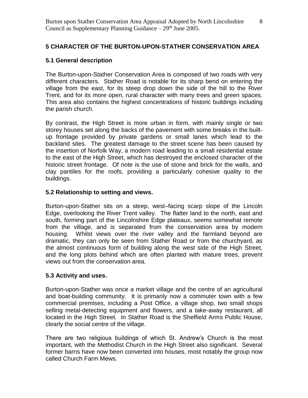# **5 CHARACTER OF THE BURTON-UPON-STATHER CONSERVATION AREA**

## **5.1 General description**

The Burton-upon-Stather Conservation Area is composed of two roads with very different characters. Stather Road is notable for its sharp bend on entering the village from the east, for its steep drop down the side of the hill to the River Trent, and for its more open, rural character with many trees and green spaces. This area also contains the highest concentrations of historic buildings including the parish church.

By contrast, the High Street is more urban in form, with mainly single or two storey houses set along the backs of the pavement with some breaks in the builtup frontage provided by private gardens or small lanes which lead to the backland sites. The greatest damage to the street scene has been caused by the insertion of Norfolk Way, a modern road leading to a small residential estate to the east of the High Street, which has destroyed the enclosed character of the historic street frontage. Of note is the use of stone and brick for the walls, and clay pantiles for the roofs, providing a particularly cohesive quality to the buildings.

## **5.2 Relationship to setting and views.**

Burton-upon-Stather sits on a steep, west–facing scarp slope of the Lincoln Edge, overlooking the River Trent valley. The flatter land to the north, east and south, forming part of the Lincolnshire Edge plateaux, seems somewhat remote from the village, and is separated from the conservation area by modern housing. Whilst views over the river valley and the farmland beyond are dramatic, they can only be seen from Stather Road or from the churchyard, as the almost continuous form of building along the west side of the High Street, and the long plots behind which are often planted with mature trees, prevent views out from the conservation area.

## **5.3 Activity and uses.**

Burton-upon-Stather was once a market village and the centre of an agricultural and boat-building community. It is primarily now a commuter town with a few commercial premises, including a Post Office, a village shop, two small shops selling metal-detecting equipment and flowers, and a take-away restaurant, all located in the High Street. In Stather Road is the Sheffield Arms Public House, clearly the social centre of the village.

There are two religious buildings of which St. Andrew's Church is the most important, with the Methodist Church in the High Street also significant. Several former barns have now been converted into houses, most notably the group now called Church Farm Mews.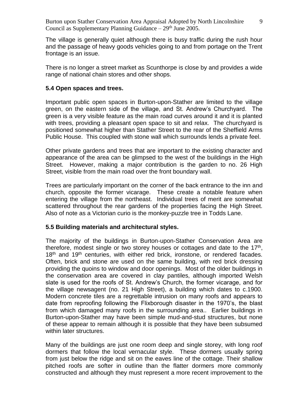The village is generally quiet although there is busy traffic during the rush hour and the passage of heavy goods vehicles going to and from portage on the Trent frontage is an issue.

There is no longer a street market as Scunthorpe is close by and provides a wide range of national chain stores and other shops.

#### **5.4 Open spaces and trees.**

Important public open spaces in Burton-upon-Stather are limited to the village green, on the eastern side of the village, and St. Andrew's Churchyard. The green is a very visible feature as the main road curves around it and it is planted with trees, providing a pleasant open space to sit and relax. The churchyard is positioned somewhat higher than Stather Street to the rear of the Sheffield Arms Public House. This coupled with stone wall which surrounds lends a private feel.

Other private gardens and trees that are important to the existing character and appearance of the area can be glimpsed to the west of the buildings in the High Street. However, making a major contribution is the garden to no. 26 High Street, visible from the main road over the front boundary wall.

Trees are particularly important on the corner of the back entrance to the inn and church, opposite the former vicarage. These create a notable feature when entering the village from the northeast. Individual trees of merit are somewhat scattered throughout the rear gardens of the properties facing the High Street. Also of note as a Victorian curio is the monkey-puzzle tree in Todds Lane.

## **5.5 Building materials and architectural styles.**

The majority of the buildings in Burton-upon-Stather Conservation Area are therefore, modest single or two storey houses or cottages and date to the  $17<sup>th</sup>$ , 18<sup>th</sup> and 19<sup>th</sup> centuries, with either red brick, ironstone, or rendered facades. Often, brick and stone are used on the same building, with red brick dressing providing the quoins to window and door openings. Most of the older buildings in the conservation area are covered in clay pantiles, although imported Welsh slate is used for the roofs of St. Andrew's Church, the former vicarage, and for the village newsagent (no. 21 High Street), a building which dates to c.1900. Modern concrete tiles are a regrettable intrusion on many roofs and appears to date from reproofing following the Flixborough disaster in the 1970's, the blast from which damaged many roofs in the surrounding area.. Earlier buildings in Burton-upon-Stather may have been simple mud-and-stud structures, but none of these appear to remain although it is possible that they have been subsumed within later structures.

Many of the buildings are just one room deep and single storey, with long roof dormers that follow the local vernacular style. These dormers usually spring from just below the ridge and sit on the eaves line of the cottage. Their shallow pitched roofs are softer in outline than the flatter dormers more commonly constructed and although they must represent a more recent improvement to the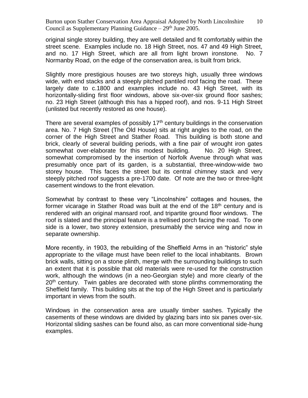original single storey building, they are well detailed and fit comfortably within the street scene. Examples include no. 18 High Street, nos. 47 and 49 High Street, and no. 17 High Street, which are all from light brown ironstone. No. 7 Normanby Road, on the edge of the conservation area, is built from brick.

Slightly more prestigious houses are two storeys high, usually three windows wide, with end stacks and a steeply pitched pantiled roof facing the road. These largely date to c.1800 and examples include no. 43 High Street, with its horizontally-sliding first floor windows, above six-over-six ground floor sashes; no. 23 High Street (although this has a hipped roof), and nos. 9-11 High Street (unlisted but recently restored as one house).

There are several examples of possibly  $17<sup>th</sup>$  century buildings in the conservation area. No. 7 High Street (The Old House) sits at right angles to the road, on the corner of the High Street and Stather Road. This building is both stone and brick, clearly of several building periods, with a fine pair of wrought iron gates somewhat over-elaborate for this modest building. No. 20 High Street, somewhat compromised by the insertion of Norfolk Avenue through what was presumably once part of its garden, is a substantial, three-window-wide two storey house. This faces the street but its central chimney stack and very steeply pitched roof suggests a pre-1700 date. Of note are the two or three-light casement windows to the front elevation.

Somewhat by contrast to these very "Lincolnshire" cottages and houses, the former vicarage in Stather Road was built at the end of the 18<sup>th</sup> century and is rendered with an original mansard roof, and tripartite ground floor windows. The roof is slated and the principal feature is a trellised porch facing the road. To one side is a lower, two storey extension, presumably the service wing and now in separate ownership.

More recently, in 1903, the rebuilding of the Sheffield Arms in an "historic" style appropriate to the village must have been relief to the local inhabitants. Brown brick walls, sitting on a stone plinth, merge with the surrounding buildings to such an extent that it is possible that old materials were re-used for the construction work, although the windows (in a neo-Georgian style) and more clearly of the 20<sup>th</sup> century. Twin gables are decorated with stone plinths commemorating the Sheffield family. This building sits at the top of the High Street and is particularly important in views from the south.

Windows in the conservation area are usually timber sashes. Typically the casements of these windows are divided by glazing bars into six panes over-six. Horizontal sliding sashes can be found also, as can more conventional side-hung examples.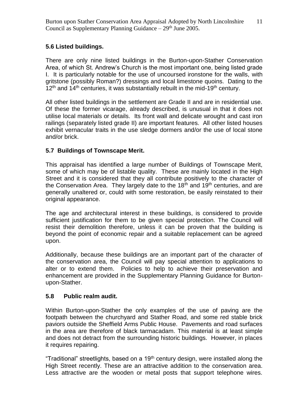# **5.6 Listed buildings.**

There are only nine listed buildings in the Burton-upon-Stather Conservation Area, of which St. Andrew's Church is the most important one, being listed grade I. It is particularly notable for the use of uncoursed ironstone for the walls, with gritstone (possibly Roman?) dressings and local limestone quoins. Dating to the  $12<sup>th</sup>$  and  $14<sup>th</sup>$  centuries, it was substantially rebuilt in the mid-19<sup>th</sup> century.

All other listed buildings in the settlement are Grade II and are in residential use. Of these the former vicarage, already described, is unusual in that it does not utilise local materials or details. Its front wall and delicate wrought and cast iron railings (separately listed grade II) are important features. All other listed houses exhibit vernacular traits in the use sledge dormers and/or the use of local stone and/or brick.

# **5.7 Buildings of Townscape Merit.**

This appraisal has identified a large number of Buildings of Townscape Merit, some of which may be of listable quality. These are mainly located in the High Street and it is considered that they all contribute positively to the character of the Conservation Area. They largely date to the  $18<sup>th</sup>$  and  $19<sup>th</sup>$  centuries, and are generally unaltered or, could with some restoration, be easily reinstated to their original appearance.

The age and architectural interest in these buildings, is considered to provide sufficient justification for them to be given special protection. The Council will resist their demolition therefore, unless it can be proven that the building is beyond the point of economic repair and a suitable replacement can be agreed upon.

Additionally, because these buildings are an important part of the character of the conservation area, the Council will pay special attention to applications to alter or to extend them. Policies to help to achieve their preservation and enhancement are provided in the Supplementary Planning Guidance for Burtonupon-Stather.

# **5.8 Public realm audit.**

Within Burton-upon-Stather the only examples of the use of paving are the footpath between the churchyard and Stather Road, and some red stable brick paviors outside the Sheffield Arms Public House. Pavements and road surfaces in the area are therefore of black tarmacadam. This material is at least simple and does not detract from the surrounding historic buildings. However, in places it requires repairing.

"Traditional" streetlights, based on a  $19<sup>th</sup>$  century design, were installed along the High Street recently. These are an attractive addition to the conservation area. Less attractive are the wooden or metal posts that support telephone wires.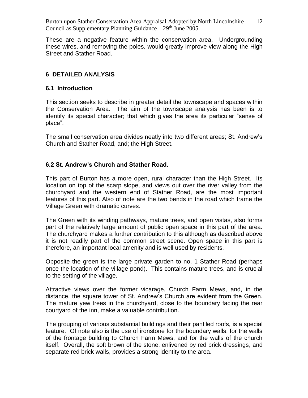These are a negative feature within the conservation area. Undergrounding these wires, and removing the poles, would greatly improve view along the High Street and Stather Road.

## **6 DETAILED ANALYSIS**

#### **6.1 Introduction**

This section seeks to describe in greater detail the townscape and spaces within the Conservation Area. The aim of the townscape analysis has been is to identify its special character; that which gives the area its particular "sense of place".

The small conservation area divides neatly into two different areas; St. Andrew's Church and Stather Road, and; the High Street.

## **6.2 St. Andrew's Church and Stather Road.**

This part of Burton has a more open, rural character than the High Street. Its location on top of the scarp slope, and views out over the river valley from the churchyard and the western end of Stather Road, are the most important features of this part. Also of note are the two bends in the road which frame the Village Green with dramatic curves.

The Green with its winding pathways, mature trees, and open vistas, also forms part of the relatively large amount of public open space in this part of the area. The churchyard makes a further contribution to this although as described above it is not readily part of the common street scene. Open space in this part is therefore, an important local amenity and is well used by residents.

Opposite the green is the large private garden to no. 1 Stather Road (perhaps once the location of the village pond). This contains mature trees, and is crucial to the setting of the village.

Attractive views over the former vicarage, Church Farm Mews, and, in the distance, the square tower of St. Andrew's Church are evident from the Green. The mature yew trees in the churchyard, close to the boundary facing the rear courtyard of the inn, make a valuable contribution.

The grouping of various substantial buildings and their pantiled roofs, is a special feature. Of note also is the use of ironstone for the boundary walls, for the walls of the frontage building to Church Farm Mews, and for the walls of the church itself. Overall, the soft brown of the stone, enlivened by red brick dressings, and separate red brick walls, provides a strong identity to the area.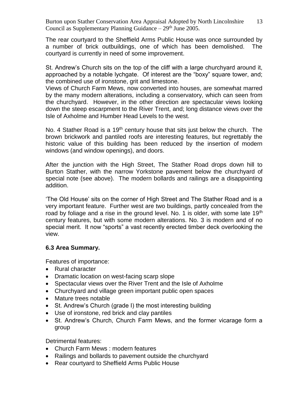The rear courtyard to the Sheffield Arms Public House was once surrounded by a number of brick outbuildings, one of which has been demolished. The courtyard is currently in need of some improvement.

St. Andrew's Church sits on the top of the cliff with a large churchyard around it, approached by a notable lychgate. Of interest are the "boxy" square tower, and; the combined use of ironstone, grit and limestone.

Views of Church Farm Mews, now converted into houses, are somewhat marred by the many modern alterations, including a conservatory, which can seen from the churchyard. However, in the other direction are spectacular views looking down the steep escarpment to the River Trent, and; long distance views over the Isle of Axholme and Humber Head Levels to the west.

No. 4 Stather Road is a 19<sup>th</sup> century house that sits just below the church. The brown brickwork and pantiled roofs are interesting features, but regrettably the historic value of this building has been reduced by the insertion of modern windows (and window openings), and doors.

After the junction with the High Street, The Stather Road drops down hill to Burton Stather, with the narrow Yorkstone pavement below the churchyard of special note (see above). The modern bollards and railings are a disappointing addition.

'The Old House' sits on the corner of High Street and The Stather Road and is a very important feature. Further west are two buildings, partly concealed from the road by foliage and a rise in the ground level. No. 1 is older, with some late 19<sup>th</sup> century features, but with some modern alterations. No. 3 is modern and of no special merit. It now "sports" a vast recently erected timber deck overlooking the view.

## **6.3 Area Summary.**

Features of importance:

- Rural character
- Dramatic location on west-facing scarp slope
- Spectacular views over the River Trent and the Isle of Axholme
- Churchyard and village green important public open spaces
- Mature trees notable
- St. Andrew's Church (grade I) the most interesting building
- Use of ironstone, red brick and clay pantiles
- St. Andrew's Church, Church Farm Mews, and the former vicarage form a group

Detrimental features:

- Church Farm Mews : modern features
- Railings and bollards to pavement outside the churchyard
- Rear courtyard to Sheffield Arms Public House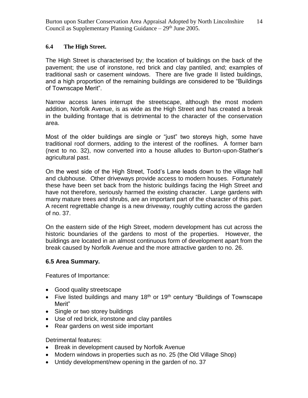#### **6.4 The High Street.**

The High Street is characterised by; the location of buildings on the back of the pavement; the use of ironstone, red brick and clay pantiled, and; examples of traditional sash or casement windows. There are five grade II listed buildings, and a high proportion of the remaining buildings are considered to be "Buildings of Townscape Merit".

Narrow access lanes interrupt the streetscape, although the most modern addition, Norfolk Avenue, is as wide as the High Street and has created a break in the building frontage that is detrimental to the character of the conservation area.

Most of the older buildings are single or "just" two storeys high, some have traditional roof dormers, adding to the interest of the rooflines. A former barn (next to no. 32), now converted into a house alludes to Burton-upon-Stather's agricultural past.

On the west side of the High Street, Todd's Lane leads down to the village hall and clubhouse. Other driveways provide access to modern houses. Fortunately these have been set back from the historic buildings facing the High Street and have not therefore, seriously harmed the existing character. Large gardens with many mature trees and shrubs, are an important part of the character of this part. A recent regrettable change is a new driveway, roughly cutting across the garden of no. 37.

On the eastern side of the High Street, modern development has cut across the historic boundaries of the gardens to most of the properties. However, the buildings are located in an almost continuous form of development apart from the break caused by Norfolk Avenue and the more attractive garden to no. 26.

## **6.5 Area Summary.**

Features of Importance:

- Good quality streetscape
- Five listed buildings and many 18<sup>th</sup> or 19<sup>th</sup> century "Buildings of Townscape Merit"
- Single or two storey buildings
- Use of red brick, ironstone and clay pantiles
- Rear gardens on west side important

Detrimental features:

- Break in development caused by Norfolk Avenue
- Modern windows in properties such as no. 25 (the Old Village Shop)
- Untidy development/new opening in the garden of no. 37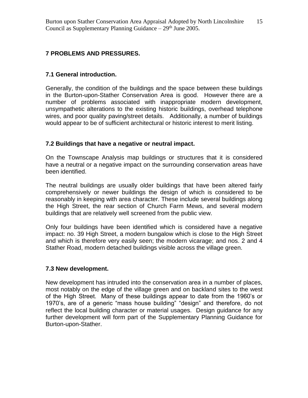## **7 PROBLEMS AND PRESSURES.**

## **7.1 General introduction.**

Generally, the condition of the buildings and the space between these buildings in the Burton-upon-Stather Conservation Area is good. However there are a number of problems associated with inappropriate modern development, unsympathetic alterations to the existing historic buildings, overhead telephone wires, and poor quality paving/street details. Additionally, a number of buildings would appear to be of sufficient architectural or historic interest to merit listing.

## **7.2 Buildings that have a negative or neutral impact.**

On the Townscape Analysis map buildings or structures that it is considered have a neutral or a negative impact on the surrounding conservation areas have been identified.

The neutral buildings are usually older buildings that have been altered fairly comprehensively or newer buildings the design of which is considered to be reasonably in keeping with area character. These include several buildings along the High Street, the rear section of Church Farm Mews, and several modern buildings that are relatively well screened from the public view.

Only four buildings have been identified which is considered have a negative impact: no. 39 High Street, a modern bungalow which is close to the High Street and which is therefore very easily seen; the modern vicarage; and nos. 2 and 4 Stather Road, modern detached buildings visible across the village green.

## **7.3 New development.**

New development has intruded into the conservation area in a number of places, most notably on the edge of the village green and on backland sites to the west of the High Street. Many of these buildings appear to date from the 1960's or 1970's, are of a generic "mass house building" "design" and therefore, do not reflect the local building character or material usages. Design guidance for any further development will form part of the Supplementary Planning Guidance for Burton-upon-Stather.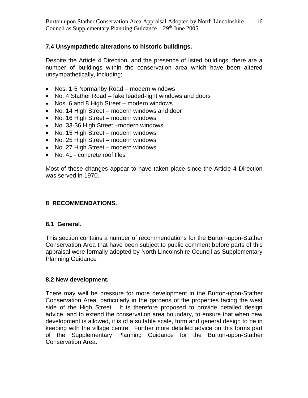## **7.4 Unsympathetic alterations to historic buildings.**

Despite the Article 4 Direction, and the presence of listed buildings, there are a number of buildings within the conservation area which have been altered unsympathetically, including:

- Nos. 1-5 Normanby Road modern windows
- No. 4 Stather Road fake leaded-light windows and doors
- Nos. 6 and 8 High Street modern windows
- No. 14 High Street modern windows and door
- No. 16 High Street modern windows
- No. 33-36 High Street –modern windows
- No. 15 High Street modern windows
- No. 25 High Street modern windows
- No. 27 High Street modern windows
- No. 41 concrete roof tiles

Most of these changes appear to have taken place since the Article 4 Direction was served in 1970.

# **8 RECOMMENDATIONS.**

## **8.1 General.**

This section contains a number of recommendations for the Burton-upon-Stather Conservation Area that have been subject to public comment before parts of this appraisal were formally adopted by North Lincolnshire Council as Supplementary Planning Guidance

## **8.2 New development.**

There may well be pressure for more development in the Burton-upon-Stather Conservation Area, particularly in the gardens of the properties facing the west side of the High Street. It is therefore proposed to provide detailed design advice, and to extend the conservation area boundary, to ensure that when new development is allowed, it is of a suitable scale, form and general design to be in keeping with the village centre. Further more detailed advice on this forms part of the Supplementary Planning Guidance for the Burton-upon-Stather Conservation Area.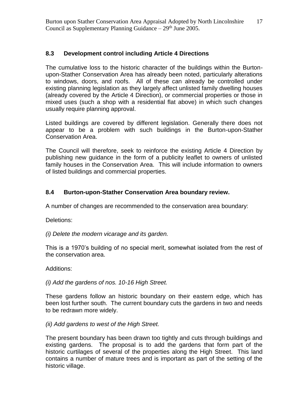# **8.3 Development control including Article 4 Directions**

The cumulative loss to the historic character of the buildings within the Burtonupon-Stather Conservation Area has already been noted, particularly alterations to windows, doors, and roofs. All of these can already be controlled under existing planning legislation as they largely affect unlisted family dwelling houses (already covered by the Article 4 Direction), or commercial properties or those in mixed uses (such a shop with a residential flat above) in which such changes usually require planning approval.

Listed buildings are covered by different legislation. Generally there does not appear to be a problem with such buildings in the Burton-upon-Stather Conservation Area.

The Council will therefore, seek to reinforce the existing Article 4 Direction by publishing new guidance in the form of a publicity leaflet to owners of unlisted family houses in the Conservation Area. This will include information to owners of listed buildings and commercial properties.

# **8.4 Burton-upon-Stather Conservation Area boundary review.**

A number of changes are recommended to the conservation area boundary:

Deletions:

*(i) Delete the modern vicarage and its garden.*

This is a 1970's building of no special merit, somewhat isolated from the rest of the conservation area.

Additions:

*(i) Add the gardens of nos. 10-16 High Street.*

These gardens follow an historic boundary on their eastern edge, which has been lost further south. The current boundary cuts the gardens in two and needs to be redrawn more widely.

*(ii) Add gardens to west of the High Street.*

The present boundary has been drawn too tightly and cuts through buildings and existing gardens. The proposal is to add the gardens that form part of the historic curtilages of several of the properties along the High Street. This land contains a number of mature trees and is important as part of the setting of the historic village.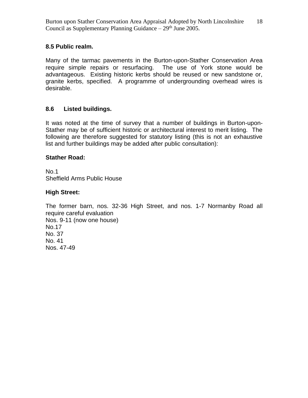## **8.5 Public realm.**

Many of the tarmac pavements in the Burton-upon-Stather Conservation Area require simple repairs or resurfacing. The use of York stone would be advantageous. Existing historic kerbs should be reused or new sandstone or, granite kerbs, specified. A programme of undergrounding overhead wires is desirable.

# **8.6 Listed buildings.**

It was noted at the time of survey that a number of buildings in Burton-upon-Stather may be of sufficient historic or architectural interest to merit listing. The following are therefore suggested for statutory listing (this is not an exhaustive list and further buildings may be added after public consultation):

## **Stather Road:**

No.1 Sheffield Arms Public House

## **High Street:**

The former barn, nos. 32-36 High Street, and nos. 1-7 Normanby Road all require careful evaluation Nos. 9-11 (now one house) No.17 No. 37 No. 41 Nos. 47-49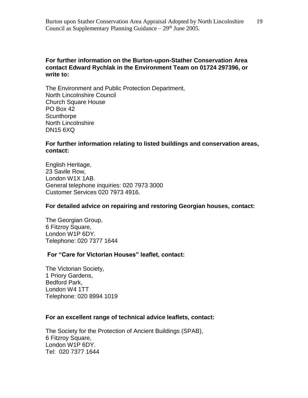## **For further information on the Burton-upon-Stather Conservation Area contact Edward Rychlak in the Environment Team on 01724 297396, or write to:**

The Environment and Public Protection Department, North Lincolnshire Council Church Square House PO Box 42 **Scunthorpe** North Lincolnshire DN15 6XQ

#### **For further information relating to listed buildings and conservation areas, contact:**

English Heritage, 23 Savile Row, London W1X 1AB. General telephone inquiries: 020 7973 3000 Customer Services 020 7973 4916.

#### **For detailed advice on repairing and restoring Georgian houses, contact:**

The Georgian Group, 6 Fitzroy Square, London W1P 6DY. Telephone: 020 7377 1644

## **For "Care for Victorian Houses" leaflet, contact:**

The Victorian Society, 1 Priory Gardens, Bedford Park, London W4 1TT Telephone: 020 8994 1019

## **For an excellent range of technical advice leaflets, contact:**

The Society for the Protection of Ancient Buildings (SPAB), 6 Fitzroy Square, London W1P 6DY. Tel: 020 7377 1644